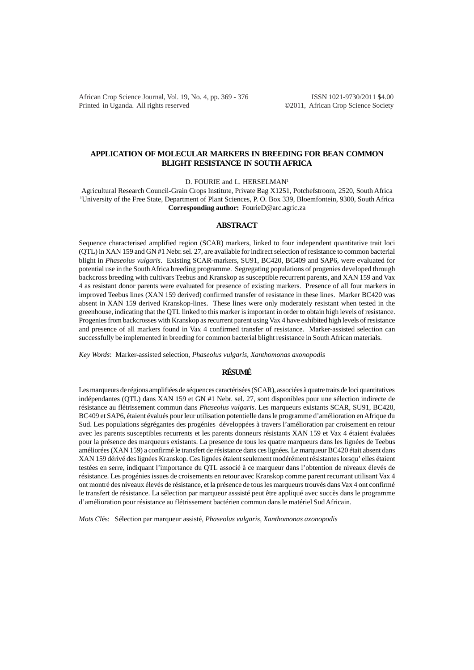African Crop Science Journal, Vol. 19, No. 4, pp. 369 - 376 ISSN 1021-9730/2011 \$4.00 Printed in Uganda. All rights reserved ©2011, African Crop Science Society

## **APPLICATION OF MOLECULAR MARKERS IN BREEDING FOR BEAN COMMON BLIGHT RESISTANCE IN SOUTH AFRICA**

D. FOURIE and L. HERSELMAN<sup>1</sup>

Agricultural Research Council-Grain Crops Institute, Private Bag X1251, Potchefstroom, 2520, South Africa 1 University of the Free State, Department of Plant Sciences, P. O. Box 339, Bloemfontein, 9300, South Africa **Corresponding author:** FourieD@arc.agric.za

### **ABSTRACT**

Sequence characterised amplified region (SCAR) markers, linked to four independent quantitative trait loci (QTL) in XAN 159 and GN #1 Nebr. sel. 27, are available for indirect selection of resistance to common bacterial blight in *Phaseolus vulgaris*. Existing SCAR-markers, SU91, BC420, BC409 and SAP6, were evaluated for potential use in the South Africa breeding programme. Segregating populations of progenies developed through backcross breeding with cultivars Teebus and Kranskop as susceptible recurrent parents, and XAN 159 and Vax 4 as resistant donor parents were evaluated for presence of existing markers. Presence of all four markers in improved Teebus lines (XAN 159 derived) confirmed transfer of resistance in these lines. Marker BC420 was absent in XAN 159 derived Kranskop-lines. These lines were only moderately resistant when tested in the greenhouse, indicating that the QTL linked to this marker is important in order to obtain high levels of resistance. Progenies from backcrosses with Kranskop as recurrent parent using Vax 4 have exhibited high levels of resistance and presence of all markers found in Vax 4 confirmed transfer of resistance. Marker-assisted selection can successfully be implemented in breeding for common bacterial blight resistance in South African materials.

*Key Words*: Marker-assisted selection*, Phaseolus vulgaris, Xanthomonas axonopodis*

## **RÉSUMÉ**

Les marqueurs de régions amplifiées de séquences caractérisées (SCAR), associées à quatre traits de loci quantitatives indépendantes (QTL) dans XAN 159 et GN #1 Nebr. sel. 27, sont disponibles pour une sélection indirecte de résistance au flétrissement commun dans *Phaseolus vulgaris*. Les marqueurs existants SCAR, SU91, BC420, BC409 et SAP6, étaient évalués pour leur utilisation potentielle dans le programme d'amélioration en Afrique du Sud. Les populations ségrégantes des progénies développées à travers l'amélioration par croisement en retour avec les parents susceptibles recurrents et les parents donneurs résistants XAN 159 et Vax 4 étaient évaluées pour la présence des marqueurs existants. La presence de tous les quatre marqueurs dans les lignées de Teebus améliorées (XAN 159) a confirmé le transfert de résistance dans ces lignées. Le marqueur BC420 était absent dans XAN 159 dérivé des lignées Kranskop. Ces lignées étaient seulement modérément résistantes lorsqu' elles étaient testées en serre, indiquant l'importance du QTL associé à ce marqueur dans l'obtention de niveaux élevés de résistance. Les progénies issues de croisements en retour avec Kranskop comme parent recurrant utilisant Vax 4 ont montré des niveaux élevés de résistance, et la présence de tous les marqueurs trouvés dans Vax 4 ont confirmé le transfert de résistance. La sélection par marqueur asssisté peut être appliqué avec succès dans le programme d'amélioration pour résistance au flétrissement bactérien commun dans le matériel Sud Africain.

*Mots Cl*és: Sélection par marqueur assisté*, Phaseolus vulgaris, Xanthomonas axonopodis*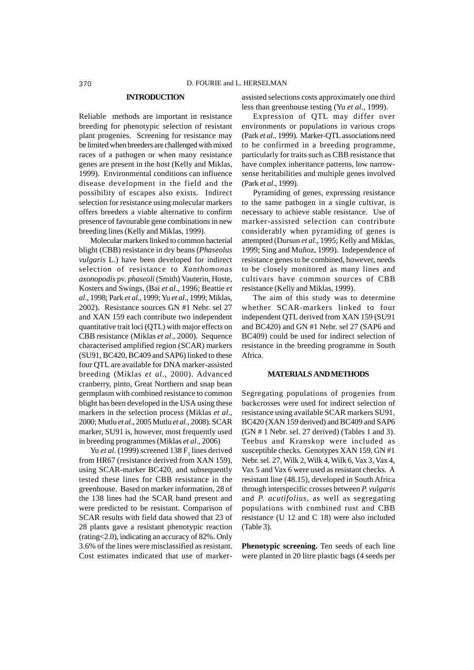#### **INTRODUCTION**

Reliable methods are important in resistance breeding for phenotypic selection of resistant plant progenies. Screening for resistance may be limited when breeders are challenged with mixed races of a pathogen or when many resistance genes are present in the host (Kelly and Miklas, 1999). Environmental conditions can influence disease development in the field and the possibility of escapes also exists. Indirect selection for resistance using molecular markers offers breeders a viable alternative to confirm presence of favourable gene combinations in new breeding lines (Kelly and Miklas, 1999).

Molecular markers linked to common bacterial blight (CBB) resistance in dry beans (*Phaseolus vulgaris* L.) have been developed for indirect selection of resistance to *Xanthomonas axonopodis* pv. *phaseoli* (Smith) Vauterin, Hoste, Kosters and Swings, (Bai *et al*., 1996; Beattie *et al*., 1998; Park *et al*., 1999; Yu *et al*., 1999; Miklas, 2002). Resistance sources GN #1 Nebr. sel 27 and XAN 159 each contribute two independent quantitative trait loci (QTL) with major effects on CBB resistance (Miklas *et al*., 2000). Sequence characterised amplified region (SCAR) markers (SU91, BC420, BC409 and SAP6) linked to these four QTL are available for DNA marker-assisted breeding (Miklas *et al*., 2000). Advanced cranberry, pinto, Great Northern and snap bean germplasm with combined resistance to common blight has been developed in the USA using these markers in the selection process (Miklas *et al*., 2000; Mutlu *et al*., 2005 Mutlu *et al*., 2008). SCAR marker, SU91 is, however, most frequently used in breeding programmes (Miklas *et al*., 2006)

Yu *et al.* (1999) screened  $138 F<sub>5</sub>$  lines derived from HR67 (resistance derived from XAN 159), using SCAR-marker BC420, and subsequently tested these lines for CBB resistance in the greenhouse. Based on marker information, 28 of the 138 lines had the SCAR band present and were predicted to be resistant. Comparison of SCAR results with field data showed that 23 of 28 plants gave a resistant phenotypic reaction (rating<2.0), indicating an accuracy of 82%. Only 3.6% of the lines were misclassified as resistant. Cost estimates indicated that use of markerassisted selections costs approximately one third less than greenhouse testing (Yu *et al*., 1999).

Expression of QTL may differ over environments or populations in various crops (Park *et al*., 1999). Marker-QTL associations need to be confirmed in a breeding programme, particularly for traits such as CBB resistance that have complex inheritance patterns, low narrowsense heritabilities and multiple genes involved (Park *et al*., 1999).

Pyramiding of genes, expressing resistance to the same pathogen in a single cultivar, is necessary to achieve stable resistance. Use of marker-assisted selection can contribute considerably when pyramiding of genes is attempted (Dursun *et al*., 1995; Kelly and Miklas, 1999; Sing and Muñoz, 1999). Independence of resistance genes to be combined, however, needs to be closely monitored as many lines and cultivars have common sources of CBB resistance (Kelly and Miklas, 1999).

The aim of this study was to determine whether SCAR-markers linked to four independent QTL derived from XAN 159 (SU91 and BC420) and GN #1 Nebr. sel 27 (SAP6 and BC409) could be used for indirect selection of resistance in the breeding programme in South Africa.

## **MATERIALS AND METHODS**

Segregating populations of progenies from backcrosses were used for indirect selection of resistance using available SCAR markers SU91, BC420 (XAN 159 derived) and BC409 and SAP6 (GN # 1 Nebr. sel. 27 derived) (Tables 1 and 3). Teebus and Kranskop were included as susceptible checks. Genotypes XAN 159, GN #1 Nebr. sel. 27, Wilk 2, Wilk 4, Wilk 6, Vax 3, Vax 4, Vax 5 and Vax 6 were used as resistant checks. A resistant line (48.15), developed in South Africa through interspecific crosses between *P. vulgaris* and *P. acutifolius,* as well as segregating populations with combined rust and CBB resistance (U 12 and C 18) were also included (Table 3).

**Phenotypic screening.** Ten seeds of each line were planted in 20 litre plastic bags (4 seeds per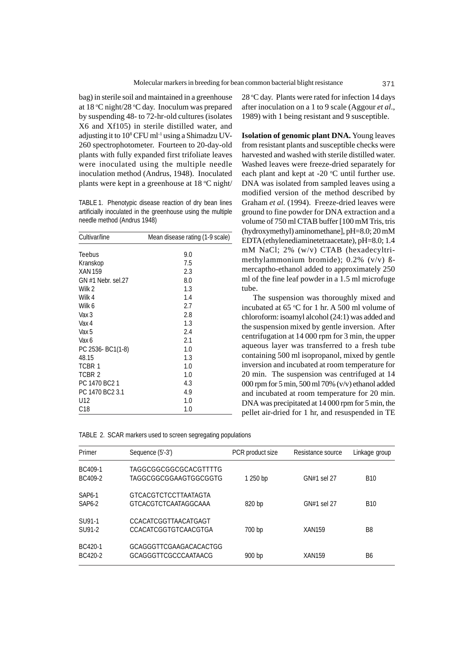bag) in sterile soil and maintained in a greenhouse at 18 °C night/28 °C day. Inoculum was prepared by suspending 48- to 72-hr-old cultures (isolates X6 and Xf105) in sterile distilled water, and adjusting it to 108 CFU ml-1 using a Shimadzu UV-260 spectrophotometer. Fourteen to 20-day-old plants with fully expanded first trifoliate leaves were inoculated using the multiple needle inoculation method (Andrus, 1948). Inoculated plants were kept in a greenhouse at 18 °C night/

TABLE 1. Phenotypic disease reaction of dry bean lines artificially inoculated in the greenhouse using the multiple needle method (Andrus 1948)

| Cultivar/line      | Mean disease rating (1-9 scale) |
|--------------------|---------------------------------|
|                    |                                 |
| Teebus             | 9.0                             |
| Kranskop           | 7.5                             |
| <b>XAN 159</b>     | 2.3                             |
| GN #1 Nebr. sel.27 | 8.0                             |
| Wilk 2             | 1.3                             |
| Wilk 4             | 1.4                             |
| Wilk 6             | 2.7                             |
| Vax 3              | 2.8                             |
| Vax 4              | 1.3                             |
| Vax 5              | 2.4                             |
| Vax 6              | 2.1                             |
| PC 2536- BC1(1-8)  | 1.0                             |
| 48.15              | 1.3                             |
| TCBR 1             | 1.0                             |
| TCBR <sub>2</sub>  | 1.0                             |
| PC 1470 BC2 1      | 4.3                             |
| PC 1470 BC2 3.1    | 4.9                             |
| U12                | 1.0                             |
| C18                | 1.0                             |

|               | TABLE 2. SCAR markers used to screen segregating populations |                  |                   |               |
|---------------|--------------------------------------------------------------|------------------|-------------------|---------------|
| Primer        | Sequence (5'-3')                                             | PCR product size | Resistance source | Linkage group |
| BC409-1       | TAGGCGGCGGCGCACGTTTTG                                        |                  |                   |               |
| BC409-2       | TAGGCGGCGGAAGTGGCGGTG                                        | 1 250 bp         | GN#1 sel 27       | <b>B10</b>    |
| <b>SAP6-1</b> | GTCACGTCTCCTTAATAGTA                                         |                  |                   |               |
| SAP6-2        | <b>GTCACGTCTCAATAGGCAAA</b>                                  | 820 bp           | GN#1 sel 27       | <b>B10</b>    |
| SU91-1        | CCACATCGGTTAACATGAGT                                         |                  |                   |               |
| SU91-2        | CCACATCGGTGTCAACGTGA                                         | 700 bp           | <b>XAN159</b>     | B8            |
| BC420-1       | <b>GCAGGGTTCGAAGACACACTGG</b>                                |                  |                   |               |

BC420-2 GCAGGGTTCGCCCAATAACG 900 bp XAN159 B6

28 °C day. Plants were rated for infection 14 days after inoculation on a 1 to 9 scale (Aggour *et al*., 1989) with 1 being resistant and 9 susceptible.

**Isolation of genomic plant DNA.** Young leaves from resistant plants and susceptible checks were harvested and washed with sterile distilled water. Washed leaves were freeze-dried separately for each plant and kept at  $-20$  °C until further use. DNA was isolated from sampled leaves using a modified version of the method described by Graham *et al.* (1994). Freeze-dried leaves were ground to fine powder for DNA extraction and a volume of 750 ml CTAB buffer [100 mM Tris, tris (hydroxymethyl) aminomethane], pH=8.0; 20 mM EDTA (ethylenediaminetetraacetate), pH=8.0; 1.4 mM NaCl; 2% (w/v) CTAB (hexadecyltrimethylammonium bromide); 0.2% (v/v) ßmercaptho-ethanol added to approximately 250 ml of the fine leaf powder in a 1.5 ml microfuge tube.

The suspension was thoroughly mixed and incubated at  $65^{\circ}$ C for 1 hr. A 500 ml volume of chloroform: isoamyl alcohol (24:1) was added and the suspension mixed by gentle inversion. After centrifugation at 14 000 rpm for 3 min, the upper aqueous layer was transferred to a fresh tube containing 500 ml isopropanol, mixed by gentle inversion and incubated at room temperature for 20 min. The suspension was centrifuged at 14 000 rpm for 5 min, 500 ml 70% (v/v) ethanol added and incubated at room temperature for 20 min. DNA was precipitated at 14 000 rpm for 5 min, the pellet air-dried for 1 hr, and resuspended in TE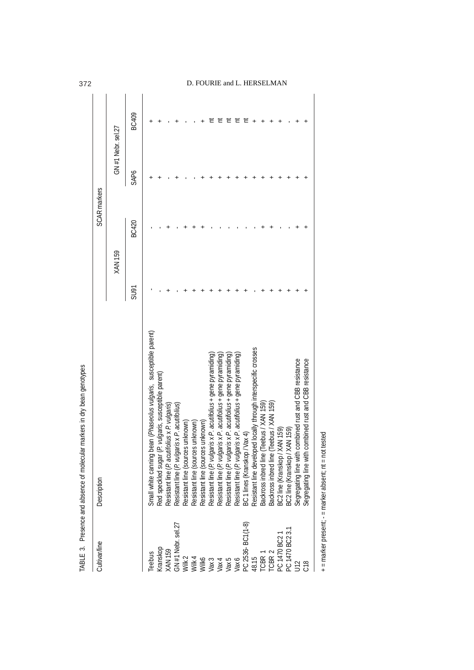| Cultivar/line                                                  | Description                                                                                                                                |                | SCAR markers |                   |       |
|----------------------------------------------------------------|--------------------------------------------------------------------------------------------------------------------------------------------|----------------|--------------|-------------------|-------|
|                                                                |                                                                                                                                            | <b>XAN 159</b> |              | GN#1 Nebr. sel.27 |       |
|                                                                |                                                                                                                                            | L6NS           | BC420        | SAP6              | BC409 |
| Teebus                                                         | bean (Phaseolus vulgaris, susceptible parent)<br>Small white canning                                                                       |                |              |                   |       |
|                                                                | P. vulgaris, susceptible parent)                                                                                                           |                |              |                   |       |
|                                                                |                                                                                                                                            |                |              |                   |       |
| Kranskop<br>XAN 159<br>GN #1 Nebr. sel.27                      | Red speckled sugar (P. vulgaris, suscept<br>Resistant line (P. acutifolius x P. vulgaris)<br>Resistant line (P. vulgaris x P. acutifolius) |                |              |                   |       |
|                                                                | Resistant line (sources unknown)                                                                                                           |                |              |                   |       |
|                                                                |                                                                                                                                            |                |              |                   |       |
|                                                                | Resistant line (sources unknown)<br>Resistant line (sources unknown)                                                                       |                |              |                   |       |
| Wilk 2<br>Wilk 4<br>Wilk 5<br>Vax 3<br>Vax 5<br>Vax 6<br>Vax 6 | Resistant line (P. vulgaris x P. acutifolius + gene pyramiding)                                                                            |                |              |                   |       |
|                                                                | Resistant line (P. vulgaris x P. acutifolius + gene pyramiding)                                                                            |                |              |                   |       |
|                                                                |                                                                                                                                            |                |              |                   |       |
|                                                                | Resistant line (P. vulgaris x P. acutifolius + gene pyramiding)<br>Resistant line (P. vulgaris x P. acutifolius + gene pyramiding)         |                |              |                   |       |
| PC 2536-BC1(1-8)                                               | Vax 4)<br><b>BC</b> 1 lines (Kranskop                                                                                                      |                |              |                   |       |
|                                                                | ped locally through interspecific crosses<br>Resistant line develop                                                                        |                |              |                   |       |
| 48.15<br>TCBR 1<br>TCBR 2                                      | Teebus / XAN 159)<br>Backross inbred line                                                                                                  |                |              |                   |       |
|                                                                | (Teebus / XAN 159)<br>Backross inbred line                                                                                                 |                |              |                   |       |
| PC 1470 BC2                                                    | XAN 159)<br>BC2 line (Kranskop /<br>BC2 line (Kranskop /                                                                                   |                |              |                   |       |
| PC 1470 BC2 3.1<br>U12                                         | XAN 159)                                                                                                                                   |                |              |                   |       |
|                                                                | combined rust and CBB resistance                                                                                                           |                |              |                   |       |
| C18                                                            | combined rust and CBB resistance<br>Segregating line with<br>Segregating line with                                                         |                |              |                   |       |
|                                                                |                                                                                                                                            |                |              |                   |       |

+ = marker present; - = marker absent; nt = not tested + = marker present; - = marker absent; nt = not tested

# 372 D. FOURIE and L. HERSELMAN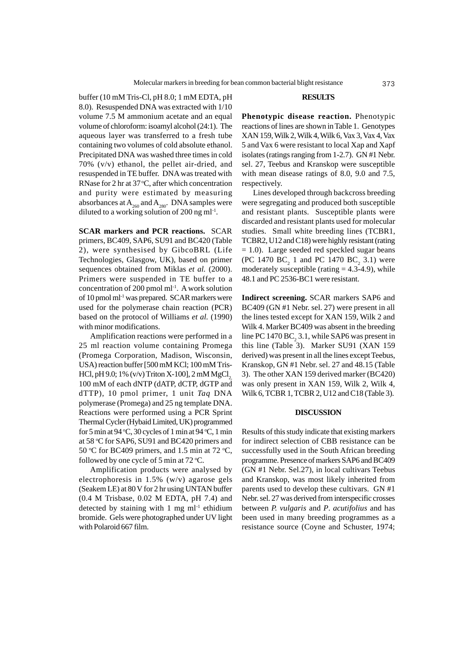buffer (10 mM Tris-Cl, pH 8.0; 1 mM EDTA, pH 8.0). Resuspended DNA was extracted with 1/10 volume 7.5 M ammonium acetate and an equal volume of chloroform: isoamyl alcohol (24:1). The aqueous layer was transferred to a fresh tube containing two volumes of cold absolute ethanol. Precipitated DNA was washed three times in cold 70% (v/v) ethanol, the pellet air-dried, and resuspended in TE buffer. DNA was treated with RNase for 2 hr at  $37^{\circ}$ C, after which concentration and purity were estimated by measuring absorbances at  $A_{260}$  and  $A_{280}$ . DNA samples were diluted to a working solution of 200 ng ml-1.

**SCAR markers and PCR reactions.** SCAR primers, BC409, SAP6, SU91 and BC420 (Table 2), were synthesised by GibcoBRL (Life Technologies, Glasgow, UK), based on primer sequences obtained from Miklas et al. (2000). Primers were suspended in TE buffer to a concentration of 200 pmol ml-1. A work solution of 10 pmol ml-1 was prepared. SCAR markers were used for the polymerase chain reaction (PCR) based on the protocol of Williams *et al.* (1990) with minor modifications.

Amplification reactions were performed in a 25 ml reaction volume containing Promega (Promega Corporation, Madison, Wisconsin, USA) reaction buffer [500 mM KCl; 100 mM Tris-HCl, pH 9.0; 1% (v/v) Triton X-100], 2 mM MgCl, 100 mM of each dNTP (dATP, dCTP, dGTP and dTTP), 10 pmol primer, 1 unit *Taq* DNA polymerase (Promega) and 25 ng template DNA. Reactions were performed using a PCR Sprint Thermal Cycler (Hybaid Limited, UK) programmed for 5 min at 94 °C, 30 cycles of 1 min at 94 °C, 1 min at 58 °C for SAP6, SU91 and BC420 primers and 50 °C for BC409 primers, and 1.5 min at 72 °C, followed by one cycle of 5 min at  $72^{\circ}$ C.

Amplification products were analysed by electrophoresis in 1.5% (w/v) agarose gels (Seakem LE) at 80 V for 2 hr using UNTAN buffer (0.4 M Trisbase, 0.02 M EDTA, pH 7.4) and detected by staining with 1 mg  $ml^{-1}$  ethidium bromide. Gels were photographed under UV light with Polaroid 667 film.

## **RESULTS**

**Phenotypic disease reaction.** Phenotypic reactions of lines are shown in Table 1. Genotypes XAN 159, Wilk 2, Wilk 4, Wilk 6, Vax 3, Vax 4, Vax 5 and Vax 6 were resistant to local Xap and Xapf isolates (ratings ranging from 1-2.7). GN #1 Nebr. sel. 27, Teebus and Kranskop were susceptible with mean disease ratings of 8.0, 9.0 and 7.5, respectively.

Lines developed through backcross breeding were segregating and produced both susceptible and resistant plants. Susceptible plants were discarded and resistant plants used for molecular studies. Small white breeding lines (TCBR1, TCBR2, U12 and C18) were highly resistant (rating = 1.0). Large seeded red speckled sugar beans (PC 1470 BC<sub>2</sub> 1 and PC 1470 BC<sub>2</sub> 3.1) were moderately susceptible (rating  $= 4.3-4.9$ ), while 48.1 and PC 2536-BC1 were resistant.

**Indirect screening.** SCAR markers SAP6 and BC409 (GN #1 Nebr. sel. 27) were present in all the lines tested except for XAN 159, Wilk 2 and Wilk 4. Marker BC409 was absent in the breeding line PC 1470 BC<sub>2</sub> 3.1, while SAP6 was present in this line (Table 3). Marker SU91 (XAN 159 derived) was present in all the lines except Teebus, Kranskop, GN #1 Nebr. sel. 27 and 48.15 (Table 3). The other XAN 159 derived marker (BC420) was only present in XAN 159, Wilk 2, Wilk 4, Wilk 6, TCBR 1, TCBR 2, U12 and C18 (Table 3).

### **DISCUSSION**

Results of this study indicate that existing markers for indirect selection of CBB resistance can be successfully used in the South African breeding programme. Presence of markers SAP6 and BC409 (GN #1 Nebr. Sel.27), in local cultivars Teebus and Kranskop, was most likely inherited from parents used to develop these cultivars. GN #1 Nebr. sel. 27 was derived from interspecific crosses between *P. vulgaris* and *P*. *acutifolius* and has been used in many breeding programmes as a resistance source (Coyne and Schuster, 1974;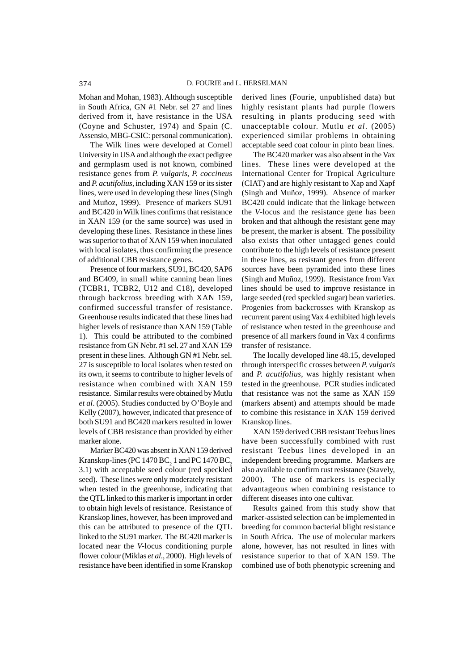Mohan and Mohan, 1983). Although susceptible in South Africa, GN #1 Nebr. sel 27 and lines derived from it, have resistance in the USA (Coyne and Schuster, 1974) and Spain (C. Assensio, MBG-CSIC: personal communication).

The Wilk lines were developed at Cornell University in USA and although the exact pedigree and germplasm used is not known, combined resistance genes from *P. vulgaris*, *P. coccineus* and *P. acutifolius,* including XAN 159 or its sister lines, were used in developing these lines (Singh and Muñoz, 1999). Presence of markers SU91 and BC420 in Wilk lines confirms that resistance in XAN 159 (or the same source) was used in developing these lines. Resistance in these lines was superior to that of XAN 159 when inoculated with local isolates, thus confirming the presence of additional CBB resistance genes.

Presence of four markers, SU91, BC420, SAP6 and BC409, in small white canning bean lines (TCBR1, TCBR2, U12 and C18), developed through backcross breeding with XAN 159, confirmed successful transfer of resistance. Greenhouse results indicated that these lines had higher levels of resistance than XAN 159 (Table 1). This could be attributed to the combined resistance from GN Nebr. #1 sel. 27 and XAN 159 present in these lines. Although GN #1 Nebr. sel. 27 is susceptible to local isolates when tested on its own, it seems to contribute to higher levels of resistance when combined with XAN 159 resistance. Similar results were obtained by Mutlu *et al*. (2005). Studies conducted by O'Boyle and Kelly (2007), however, indicated that presence of both SU91 and BC420 markers resulted in lower levels of CBB resistance than provided by either marker alone.

Marker BC420 was absent in XAN 159 derived Kranskop-lines (PC 1470 BC $_2$  1 and PC 1470 BC $_2$ 3.1) with acceptable seed colour (red speckled seed). These lines were only moderately resistant when tested in the greenhouse, indicating that the QTL linked to this marker is important in order to obtain high levels of resistance. Resistance of Kranskop lines, however, has been improved and this can be attributed to presence of the QTL linked to the SU91 marker. The BC420 marker is located near the *V-*locus conditioning purple flower colour (Miklas *et al*., 2000). High levels of resistance have been identified in some Kranskop

derived lines (Fourie, unpublished data) but highly resistant plants had purple flowers resulting in plants producing seed with unacceptable colour. Mutlu *et al*. (2005) experienced similar problems in obtaining acceptable seed coat colour in pinto bean lines.

The BC420 marker was also absent in the Vax lines. These lines were developed at the International Center for Tropical Agriculture (CIAT) and are highly resistant to Xap and Xapf (Singh and Muñoz, 1999). Absence of marker BC420 could indicate that the linkage between the *V*-locus and the resistance gene has been broken and that although the resistant gene may be present, the marker is absent. The possibility also exists that other untagged genes could contribute to the high levels of resistance present in these lines, as resistant genes from different sources have been pyramided into these lines (Singh and Muñoz, 1999). Resistance from Vax lines should be used to improve resistance in large seeded (red speckled sugar) bean varieties. Progenies from backcrosses with Kranskop as recurrent parent using Vax 4 exhibited high levels of resistance when tested in the greenhouse and presence of all markers found in Vax 4 confirms transfer of resistance.

The locally developed line 48.15, developed through interspecific crosses between *P. vulgaris* and *P. acutifolius*, was highly resistant when tested in the greenhouse. PCR studies indicated that resistance was not the same as XAN 159 (markers absent) and attempts should be made to combine this resistance in XAN 159 derived Kranskop lines.

XAN 159 derived CBB resistant Teebus lines have been successfully combined with rust resistant Teebus lines developed in an independent breeding programme. Markers are also available to confirm rust resistance (Stavely, 2000). The use of markers is especially advantageous when combining resistance to different diseases into one cultivar.

Results gained from this study show that marker-assisted selection can be implemented in breeding for common bacterial blight resistance in South Africa. The use of molecular markers alone, however, has not resulted in lines with resistance superior to that of XAN 159. The combined use of both phenotypic screening and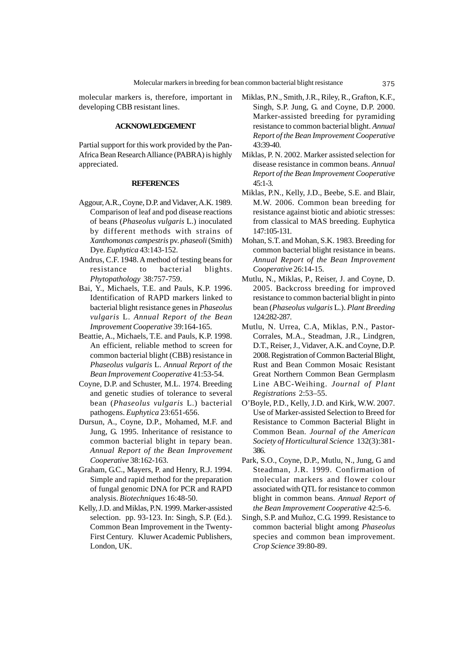molecular markers is, therefore, important in developing CBB resistant lines.

## **ACKNOWLEDGEMENT**

Partial support for this work provided by the Pan-Africa Bean Research Alliance (PABRA) is highly appreciated.

### **REFERENCES**

- Aggour, A.R., Coyne, D.P. and Vidaver, A.K. 1989. Comparison of leaf and pod disease reactions of beans (*Phaseolus vulgaris* L.) inoculated by different methods with strains of *Xanthomonas campestris* pv. *phaseoli*(Smith) Dye. *Euphytica* 43:143-152.
- Andrus, C.F. 1948. A method of testing beans for resistance to bacterial blights. *Phytopathology* 38:757-759.
- Bai, Y., Michaels, T.E. and Pauls, K.P. 1996. Identification of RAPD markers linked to bacterial blight resistance genes in *Phaseolus vulgaris* L. *Annual Report of the Bean Improvement Cooperative* 39:164-165.
- Beattie, A., Michaels, T.E. and Pauls, K.P. 1998. An efficient, reliable method to screen for common bacterial blight (CBB) resistance in *Phaseolus vulgaris* L. *Annual Report of the Bean Improvement Cooperative* 41:53-54.
- Coyne, D.P. and Schuster, M.L. 1974. Breeding and genetic studies of tolerance to several bean (*Phaseolus vulgaris* L.) bacterial pathogens. *Euphytica* 23:651-656.
- Dursun, A., Coyne, D.P., Mohamed, M.F. and Jung, G. 1995. Inheritance of resistance to common bacterial blight in tepary bean. *Annual Report of the Bean Improvement Cooperative* 38:162-163.
- Graham, G.C., Mayers, P. and Henry, R.J. 1994. Simple and rapid method for the preparation of fungal genomic DNA for PCR and RAPD analysis. *Biotechniques* 16:48-50.
- Kelly, J.D. and Miklas, P.N. 1999. Marker-assisted selection. pp. 93-123. In: Singh, S.P. (Ed.). Common Bean Improvement in the Twenty-First Century. Kluwer Academic Publishers, London, UK.
- Miklas, P.N., Smith, J.R., Riley, R., Grafton, K.F., Singh, S.P. Jung, G. and Coyne, D.P. 2000. Marker-assisted breeding for pyramiding resistance to common bacterial blight. *Annual Report of the Bean Improvement Cooperative* 43:39-40.
- Miklas, P. N. 2002. Marker assisted selection for disease resistance in common beans. *Annual Report of the Bean Improvement Cooperative* 45:1-3.
- Miklas, P.N., Kelly, J.D., Beebe, S.E. and Blair, M.W. 2006. Common bean breeding for resistance against biotic and abiotic stresses: from classical to MAS breeding. Euphytica 147:105-131.
- Mohan, S.T. and Mohan, S.K. 1983. Breeding for common bacterial blight resistance in beans. *Annual Report of the Bean Improvement Cooperative* 26:14-15.
- Mutlu, N., Miklas, P., Reiser, J. and Coyne, D. 2005. Backcross breeding for improved resistance to common bacterial blight in pinto bean (*Phaseolus vulgaris* L.). *Plant Breeding* 124:282-287.
- Mutlu, N. Urrea, C.A, Miklas, P.N., Pastor-Corrales, M.A., Steadman, J.R., Lindgren, D.T., Reiser, J., Vidaver, A.K. and Coyne, D.P. 2008. Registration of Common Bacterial Blight, Rust and Bean Common Mosaic Resistant Great Northern Common Bean Germplasm Line ABC-Weihing. *Journal of Plant Registrations* 2:53–55.
- O'Boyle, P.D., Kelly, J.D. and Kirk, W.W. 2007. Use of Marker-assisted Selection to Breed for Resistance to Common Bacterial Blight in Common Bean. *Journal of the American Society of Horticultural Science* 132(3):381- 386.
- Park, S.O., Coyne, D.P., Mutlu, N., Jung, G and Steadman, J.R. 1999. Confirmation of molecular markers and flower colour associated with QTL for resistance to common blight in common beans. *Annual Report of the Bean Improvement Cooperative* 42:5-6.
- Singh, S.P. and Muñoz, C.G. 1999. Resistance to common bacterial blight among *Phaseolus* species and common bean improvement. *Crop Science* 39:80-89.